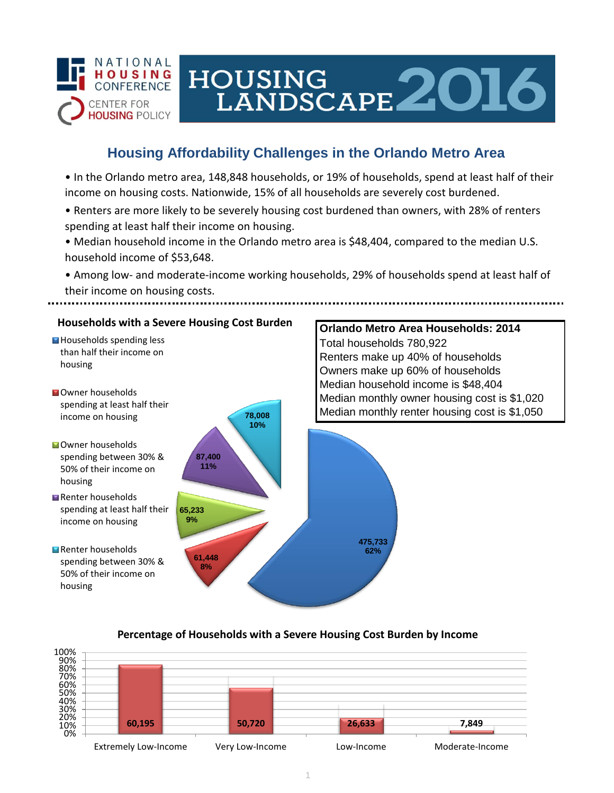

# HOUSING<br>LANDSCAPE 2016

# **Housing Affordability Challenges in the Orlando Metro Area**

• In the Orlando metro area, 148,848 households, or 19% of households, spend at least half of their income on housing costs. Nationwide, 15% of all households are severely cost burdened.

- Renters are more likely to be severely housing cost burdened than owners, with 28% of renters spending at least half their income on housing.
- Median household income in the Orlando metro area is \$48,404, compared to the median U.S. household income of \$53,648.
- Among low- and moderate-income working households, 29% of households spend at least half of their income on housing costs.



## **Percentage of Households with a Severe Housing Cost Burden by Income**